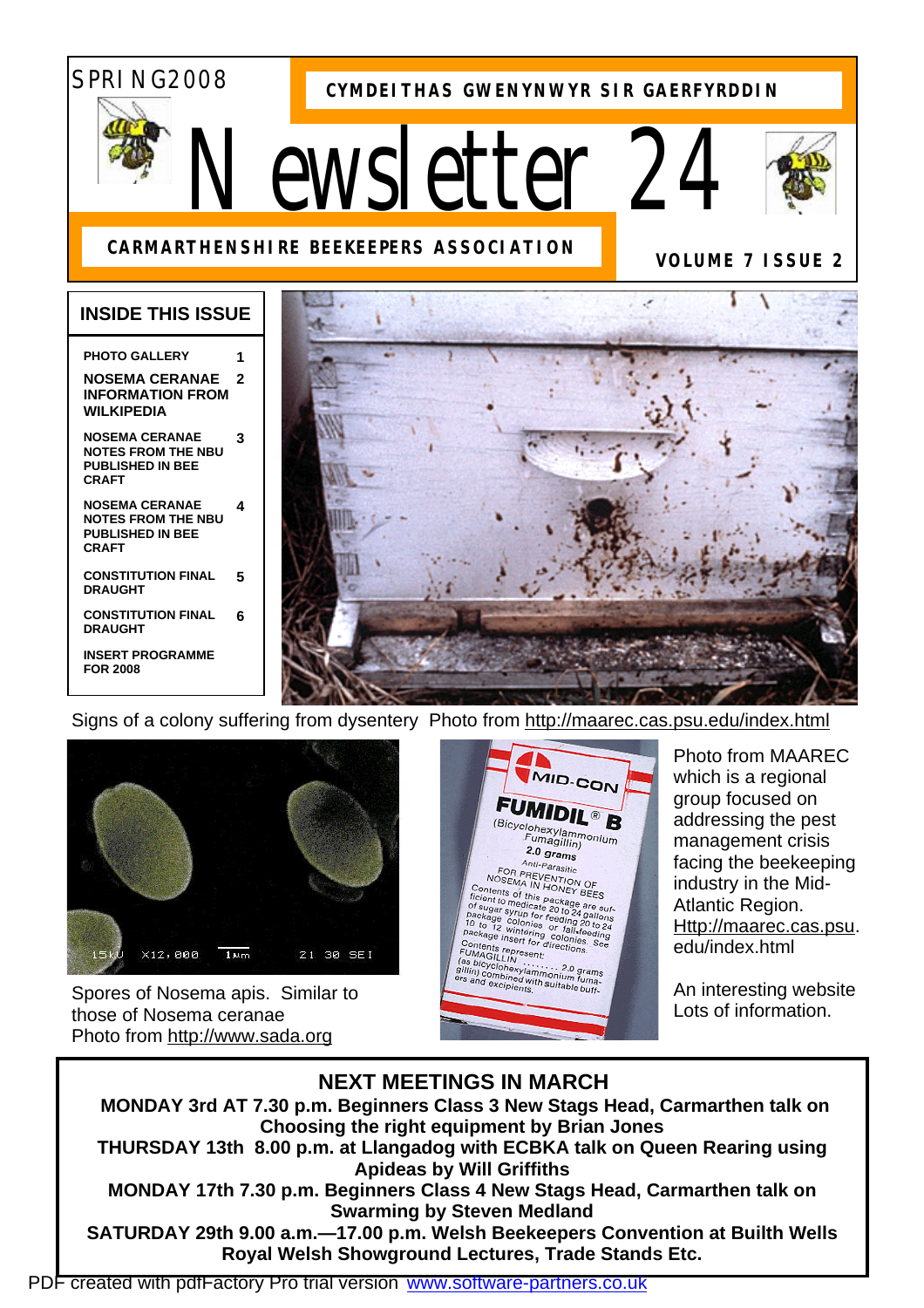# SPRING2008

**CYMDEITHAS GWENYNWYR SIR GAERFYRDDIN**

# *Newsletter 24*



**VOLUME 7 ISSUE 2** 

## **CARMARTHENSHIRE BEEKEEPERS ASSOCIATION**

### **INSIDE THIS ISSUE**

#### **PHOTO GALLERY**

#### **NOSEMA CERANAE INFORMATION FROM WILKIPEDIA 2**

**NOSEMA CERANAE NOTES FROM THE NBU PUBLISHED IN BEE CRAFT 3** 

**NOSEMA CERANAE NOTES FROM THE NBU PUBLISHED IN BEE CRAFT 4** 

**CONSTITUTION FINAL DRAUGHT 5** 

**CONSTITUTION FINAL DRAUGHT 6** 

**INSERT PROGRAMME FOR 2008** 



Signs of a colony suffering from dysentery Photo from<http://maarec.cas.psu.edu/index.html>



Spores of Nosema apis. Similar to those of Nosema ceranae Photo from<http://www.sada.org>



Photo from MAAREC which is a regional group focused on addressing the pest management crisis facing the beekeeping industry in the Mid-Atlantic Region. [Http://maarec.cas.psu.](http://maarec.cas.psu) edu/index.html

An interesting website Lots of information.

# **NEXT MEETINGS IN MARCH**

**MONDAY 3rd AT 7.30 p.m. Beginners Class 3 New Stags Head, Carmarthen talk on Choosing the right equipment by Brian Jones THURSDAY 13th 8.00 p.m. at Llangadog with ECBKA talk on Queen Rearing using Apideas by Will Griffiths MONDAY 17th 7.30 p.m. Beginners Class 4 New Stags Head, Carmarthen talk on Swarming by Steven Medland** 

**SATURDAY 29th 9.00 a.m.—17.00 p.m. Welsh Beekeepers Convention at Builth Wells Royal Welsh Showground Lectures, Trade Stands Etc.**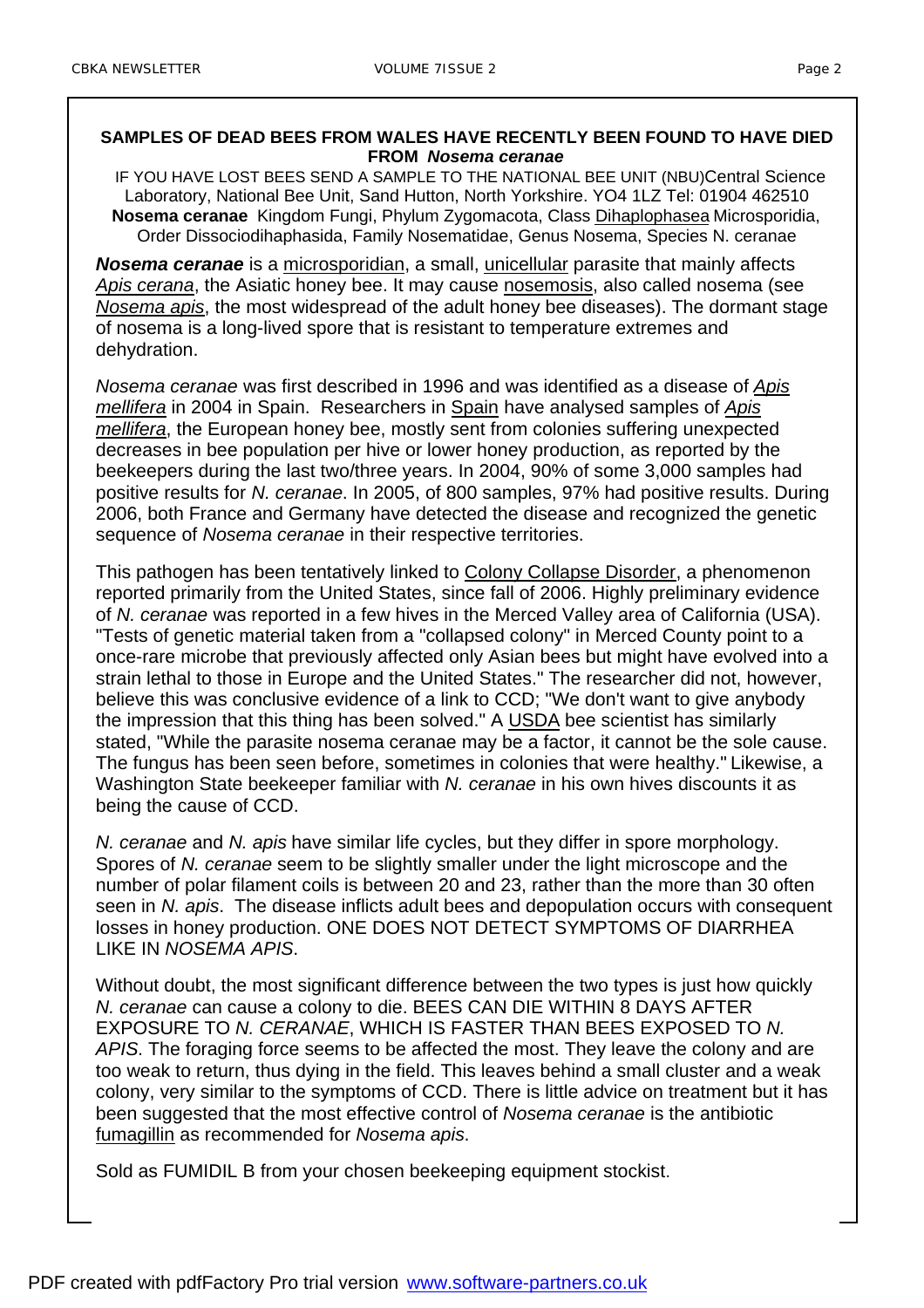#### **SAMPLES OF DEAD BEES FROM WALES HAVE RECENTLY BEEN FOUND TO HAVE DIED FROM** *Nosema ceranae*

IF YOU HAVE LOST BEES SEND A SAMPLE TO THE NATIONAL BEE UNIT (NBU) Central Science Laboratory, National Bee Unit, Sand Hutton, North Yorkshire. YO4 1LZ Tel: 01904 462510 **Nosema ceranae** Kingdom Fungi, Phylum Zygomacota, Class Dihaplophasea Microsporidia, Order Dissociodihaphasida, Family Nosematidae, Genus Nosema, Species N. ceranae

*Nosema ceranae* is a microsporidian, a small, unicellular parasite that mainly affects *Apis cerana*, the Asiatic honey bee. It may cause nosemosis, also called nosema (see *Nosema apis*, the most widespread of the adult honey bee diseases). The dormant stage of nosema is a long-lived spore that is resistant to temperature extremes and dehydration.

*Nosema ceranae* was first described in 1996 and was identified as a disease of *Apis mellifera* in 2004 in Spain. Researchers in Spain have analysed samples of *Apis mellifera*, the European honey bee, mostly sent from colonies suffering unexpected decreases in bee population per hive or lower honey production, as reported by the beekeepers during the last two/three years. In 2004, 90% of some 3,000 samples had positive results for *N. ceranae*. In 2005, of 800 samples, 97% had positive results. During 2006, both France and Germany have detected the disease and recognized the genetic sequence of *Nosema ceranae* in their respective territories.

This pathogen has been tentatively linked to Colony Collapse Disorder, a phenomenon reported primarily from the United States, since fall of 2006. Highly preliminary evidence of *N. ceranae* was reported in a few hives in the Merced Valley area of California (USA). "Tests of genetic material taken from a "collapsed colony" in Merced County point to a once-rare microbe that previously affected only Asian bees but might have evolved into a strain lethal to those in Europe and the United States." The researcher did not, however, believe this was conclusive evidence of a link to CCD; "We don't want to give anybody the impression that this thing has been solved." A USDA bee scientist has similarly stated, "While the parasite nosema ceranae may be a factor, it cannot be the sole cause. The fungus has been seen before, sometimes in colonies that were healthy." Likewise, a Washington State beekeeper familiar with *N. ceranae* in his own hives discounts it as being the cause of CCD.

*N. ceranae* and *N. apis* have similar life cycles, but they differ in spore morphology. Spores of *N. ceranae* seem to be slightly smaller under the light microscope and the number of polar filament coils is between 20 and 23, rather than the more than 30 often seen in *N. apis*. The disease inflicts adult bees and depopulation occurs with consequent losses in honey production. ONE DOES NOT DETECT SYMPTOMS OF DIARRHEA LIKE IN *NOSEMA APIS*.

Without doubt, the most significant difference between the two types is just how quickly *N. ceranae* can cause a colony to die. BEES CAN DIE WITHIN 8 DAYS AFTER EXPOSURE TO *N. CERANAE*, WHICH IS FASTER THAN BEES EXPOSED TO *N. APIS*. The foraging force seems to be affected the most. They leave the colony and are too weak to return, thus dying in the field. This leaves behind a small cluster and a weak colony, very similar to the symptoms of CCD. There is little advice on treatment but it has been suggested that the most effective control of *Nosema ceranae* is the antibiotic fumagillin as recommended for *Nosema apis*.

Sold as FUMIDIL B from your chosen beekeeping equipment stockist.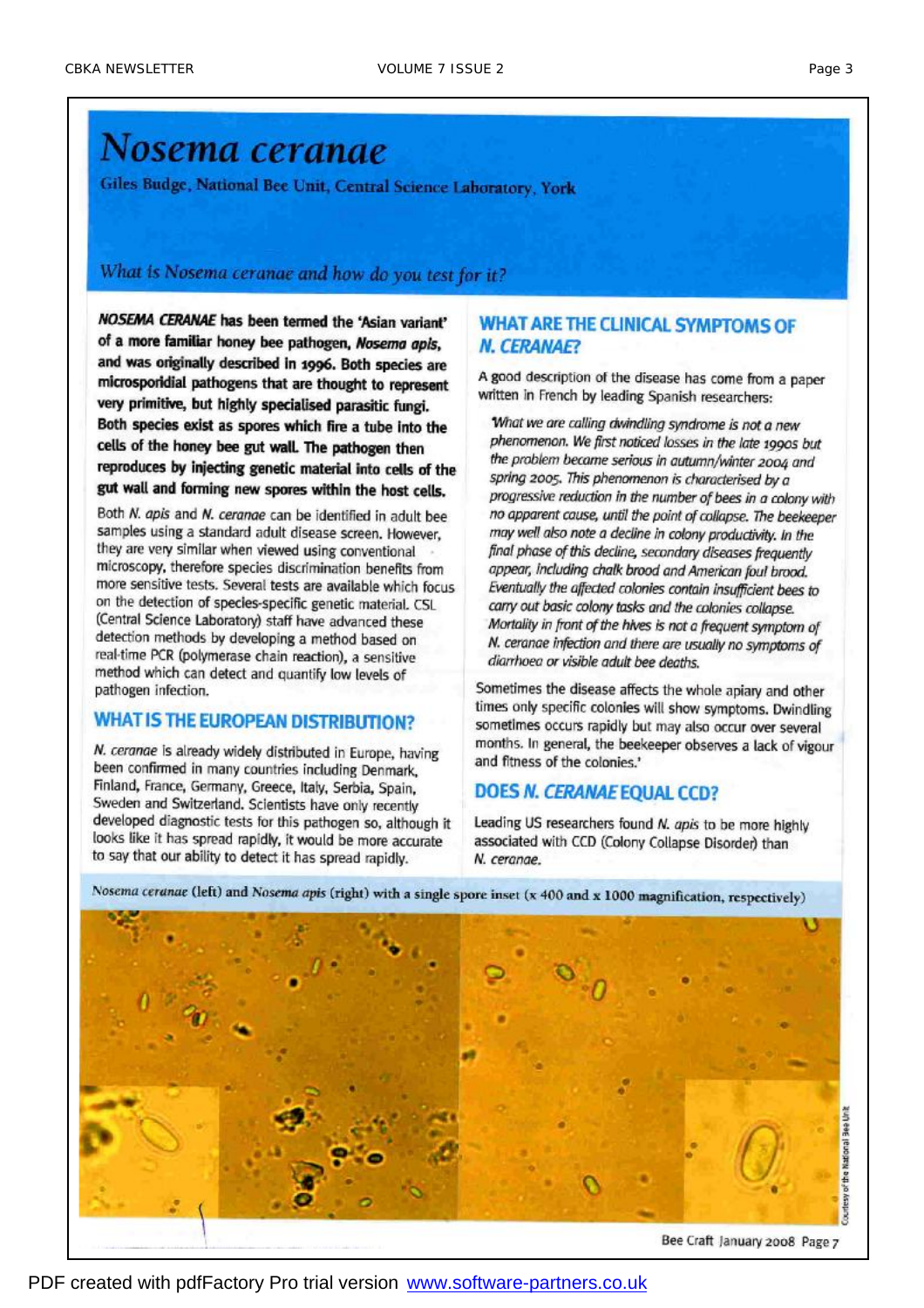# Nosema ceranae

Giles Budge, National Bee Unit, Central Science Laboratory, York

# What is Nosema ceranae and how do you test for it?

NOSEMA CERANAE has been termed the 'Asian variant' of a more familiar honey bee pathogen, Nosema apis, and was originally described in 1996. Both species are microsporidial pathogens that are thought to represent very primitive, but highly specialised parasitic fungi. Both species exist as spores which fire a tube into the cells of the honey bee gut wall. The pathogen then reproduces by injecting genetic material into cells of the gut wall and forming new spores within the host cells.

Both N. apis and N. cerange can be identified in adult bee samples using a standard adult disease screen. However. they are very similar when viewed using conventional microscopy, therefore species discrimination benefits from more sensitive tests. Several tests are available which focus on the detection of species-specific genetic material. CSL (Central Science Laboratory) staff have advanced these detection methods by developing a method based on real-time PCR (polymerase chain reaction), a sensitive method which can detect and quantify low levels of pathogen infection.

### **WHAT IS THE EUROPEAN DISTRIBUTION?**

N. ceranae is already widely distributed in Europe, having been confirmed in many countries including Denmark. Finland, France, Germany, Greece, Italy, Serbia, Spain, Sweden and Switzerland. Scientists have only recently developed diagnostic tests for this pathogen so, although it looks like it has spread rapidly, it would be more accurate to say that our ability to detect it has spread rapidly.

#### **WHAT ARE THE CLINICAL SYMPTOMS OF N. CERANAE?**

A good description of the disease has come from a paper written in French by leading Spanish researchers:

What we are calling dwindling syndrome is not a new phenomenon. We first noticed losses in the late 1990s but the problem became serious in autumn/winter 2004 and spring 2005. This phenomenon is characterised by a progressive reduction in the number of bees in a colony with no apparent cause, until the point of collapse. The beekeeper may well also note a decline in colony productivity. In the final phase of this decline, secondary diseases frequently appear, including chalk brood and American foul brood. Eventually the affected colonies contain insufficient bees to carry out basic colony tasks and the colonies collapse. Mortality in front of the hives is not a frequent symptom of N. ceranae infection and there are usually no symptoms of diarrhoea or visible adult bee deaths.

Sometimes the disease affects the whole apiary and other times only specific colonies will show symptoms. Dwindling sometimes occurs rapidly but may also occur over several months. In general, the beekeeper observes a lack of vigour and fitness of the colonies.'

# **DOES N. CERANAE EQUAL CCD?**

Leading US researchers found N. apis to be more highly associated with CCD (Colony Collapse Disorder) than N. ceranae.

Courtesy of the National Bee Unit

Nosema ceranae (left) and Nosema apis (right) with a single spore inset (x 400 and x 1000 magnification, respectively)

Bee Craft January 2008 Page 7

PDF created with pdfFactory Pro trial version www.software-partners.co.uk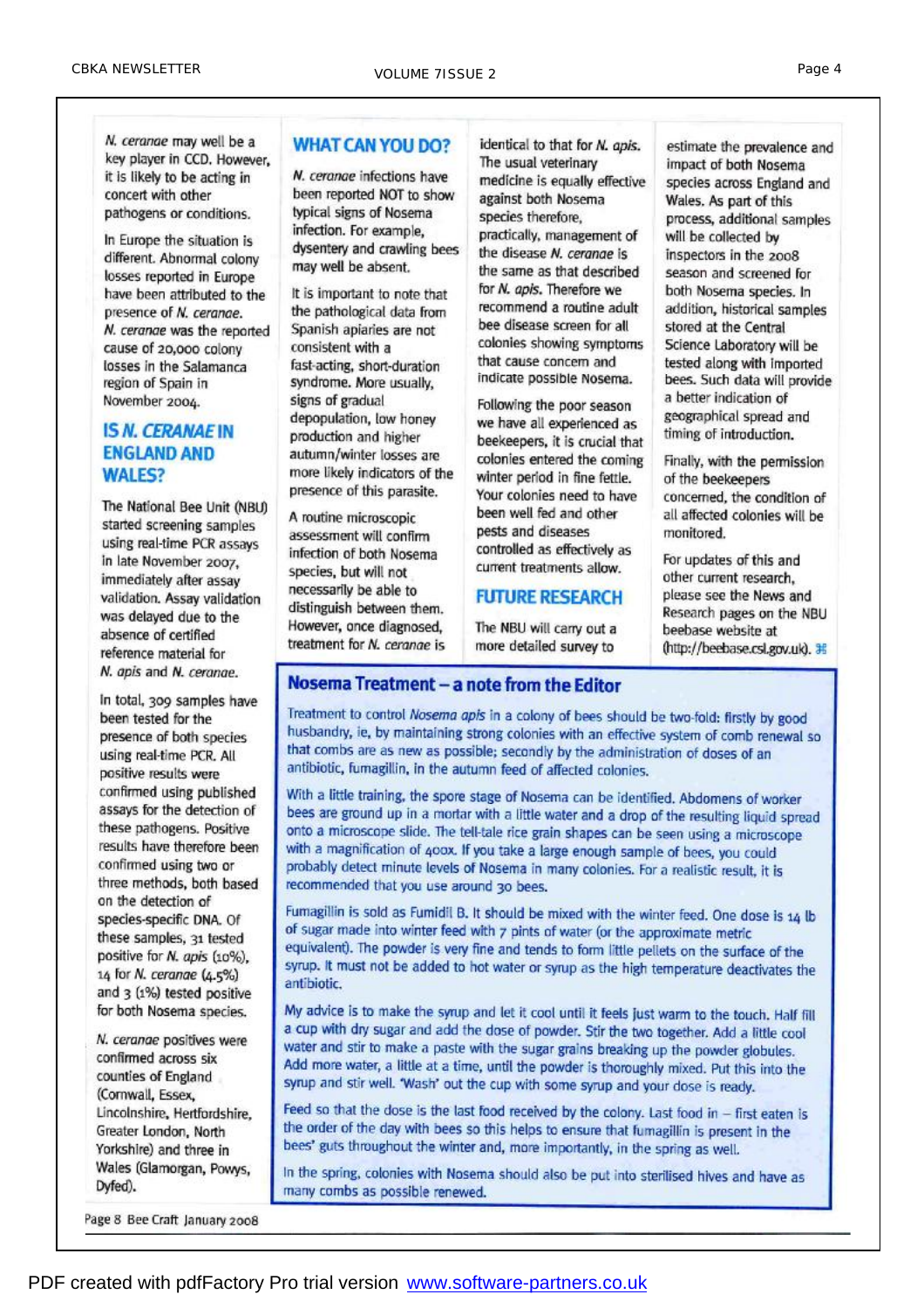N. ceranae may well be a key player in CCD. However, it is likely to be acting in concert with other pathogens or conditions.

In Europe the situation is different. Abnormal colony losses reported in Europe have been attributed to the presence of N. ceranae. N. ceranae was the reported cause of 20,000 colony losses in the Salamanca region of Spain in November 2004.

#### **IS N. CERANAE IN ENGLAND AND WALES?**

The National Bee Unit (NBU) started screening samples using real-time PCR assays in late November 2007. immediately after assay validation. Assay validation was delayed due to the absence of certified reference material for N. apis and N. ceranae.

In total, 309 samples have been tested for the presence of both species using real-time PCR. All positive results were confirmed using published assays for the detection of these pathogens. Positive results have therefore been confirmed using two or three methods, both based on the detection of species-specific DNA. Of these samples, 31 tested positive for N. apis (10%), 14 for N. ceranae (4.5%) and 3 (1%) tested positive for both Nosema species.

N. ceranae positives were confirmed across six counties of England (Cornwall, Essex, Lincolnshire, Hertfordshire. Greater London, North Yorkshire) and three in Wales (Glamorgan, Powys. Dyfed).

#### **WHAT CAN YOU DO?**

N. ceranae infections have been reported NOT to show typical signs of Nosema infection. For example, dysentery and crawling bees may well be absent.

It is important to note that the pathological data from Spanish apiaries are not consistent with a fast-acting, short-duration syndrome. More usually, signs of gradual depopulation, low honey production and higher autumn/winter losses are more likely indicators of the presence of this parasite.

A routine microscopic assessment will confirm infection of both Nosema species, but will not necessarily be able to distinguish between them. However, once diagnosed. treatment for N. cerange is

identical to that for N. apis. The usual veterinary medicine is equally effective against both Nosema species therefore. practically, management of the disease N. cerange is the same as that described for N. apis. Therefore we recommend a routine adult bee disease screen for all colonies showing symptoms that cause concern and indicate possible Nosema.

Following the poor season we have all experienced as beekeepers, it is crucial that colonies entered the coming winter period in fine fettle. Your colonies need to have been well fed and other pests and diseases controlled as effectively as current treatments allow.

#### **FUTURE RESEARCH**

The NBU will carry out a more detailed survey to

estimate the prevalence and impact of both Nosema species across England and Wales. As part of this process, additional samples will be collected by inspectors in the 2008 season and screened for both Nosema species. In addition, historical samples stored at the Central Science Laboratory will be tested along with imported bees. Such data will provide a better indication of geographical spread and timing of introduction.

Finally, with the permission of the beekeepers concerned, the condition of all affected colonies will be monitored.

For updates of this and other current research, please see the News and Research pages on the NBU beebase website at (http://beebase.csl.gov.uk). 耳

# Nosema Treatment - a note from the Editor

Treatment to control Nosema apis in a colony of bees should be two-fold: firstly by good husbandry, ie, by maintaining strong colonies with an effective system of comb renewal so that combs are as new as possible; secondly by the administration of doses of an antibiotic, fumagillin, in the autumn feed of affected colonies.

With a little training, the spore stage of Nosema can be identified. Abdomens of worker bees are ground up in a mortar with a little water and a drop of the resulting liquid spread onto a microscope slide. The tell-tale rice grain shapes can be seen using a microscope with a magnification of 400x. If you take a large enough sample of bees, you could probably detect minute levels of Nosema in many colonies. For a realistic result, it is recommended that you use around 30 bees.

Fumagillin is sold as Fumidil B. It should be mixed with the winter feed. One dose is 14 lb of sugar made into winter feed with 7 pints of water (or the approximate metric equivalent). The powder is very fine and tends to form little pellets on the surface of the syrup. It must not be added to hot water or syrup as the high temperature deactivates the antibiotic.

My advice is to make the syrup and let it cool until it feels just warm to the touch. Half fill a cup with dry sugar and add the dose of powder. Stir the two together. Add a little cool water and stir to make a paste with the sugar grains breaking up the powder globules. Add more water, a little at a time, until the powder is thoroughly mixed. Put this into the syrup and stir well. 'Wash' out the cup with some syrup and your dose is ready.

Feed so that the dose is the last food received by the colony. Last food in - first eaten is the order of the day with bees so this helps to ensure that fumagillin is present in the bees' guts throughout the winter and, more importantly, in the spring as well.

In the spring, colonies with Nosema should also be put into sterilised hives and have as many combs as possible renewed.

Page 8 Bee Craft January 2008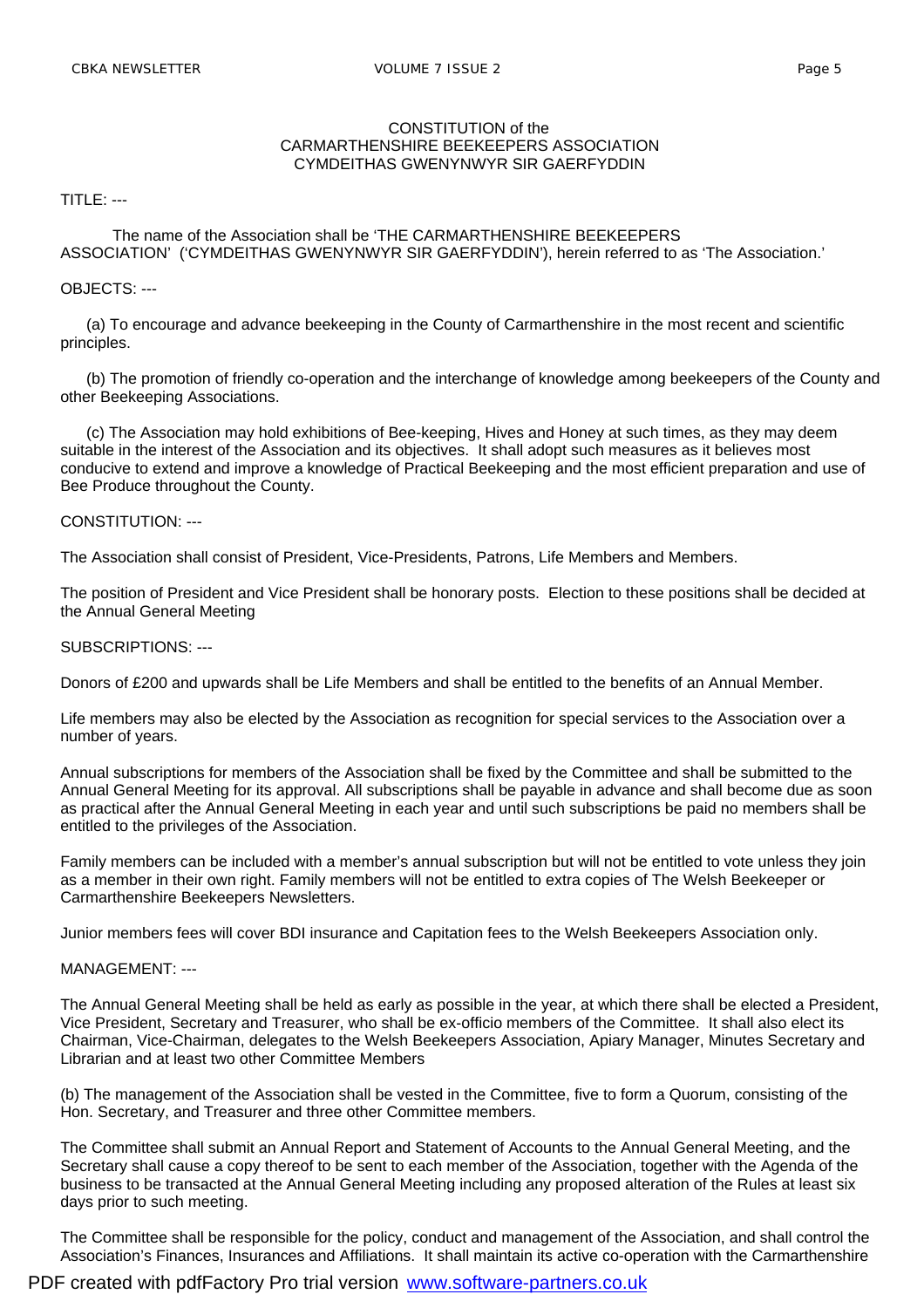#### CONSTITUTION of the CARMARTHENSHIRE BEEKEEPERS ASSOCIATION CYMDEITHAS GWENYNWYR SIR GAERFYDDIN

TITLE: ---

#### The name of the Association shall be 'THE CARMARTHENSHIRE BEEKEEPERS ASSOCIATION' ('CYMDEITHAS GWENYNWYR SIR GAERFYDDIN'), herein referred to as 'The Association.'

#### OBJECTS: ---

 (a) To encourage and advance beekeeping in the County of Carmarthenshire in the most recent and scientific principles.

 (b) The promotion of friendly co-operation and the interchange of knowledge among beekeepers of the County and other Beekeeping Associations.

 (c) The Association may hold exhibitions of Bee-keeping, Hives and Honey at such times, as they may deem suitable in the interest of the Association and its objectives. It shall adopt such measures as it believes most conducive to extend and improve a knowledge of Practical Beekeeping and the most efficient preparation and use of Bee Produce throughout the County.

#### CONSTITUTION: ---

The Association shall consist of President, Vice-Presidents, Patrons, Life Members and Members.

The position of President and Vice President shall be honorary posts. Election to these positions shall be decided at the Annual General Meeting

SUBSCRIPTIONS: ---

Donors of £200 and upwards shall be Life Members and shall be entitled to the benefits of an Annual Member.

Life members may also be elected by the Association as recognition for special services to the Association over a number of years.

Annual subscriptions for members of the Association shall be fixed by the Committee and shall be submitted to the Annual General Meeting for its approval. All subscriptions shall be payable in advance and shall become due as soon as practical after the Annual General Meeting in each year and until such subscriptions be paid no members shall be entitled to the privileges of the Association.

Family members can be included with a member's annual subscription but will not be entitled to vote unless they join as a member in their own right. Family members will not be entitled to extra copies of The Welsh Beekeeper or Carmarthenshire Beekeepers Newsletters.

Junior members fees will cover BDI insurance and Capitation fees to the Welsh Beekeepers Association only.

#### MANAGEMENT: ---

The Annual General Meeting shall be held as early as possible in the year, at which there shall be elected a President, Vice President, Secretary and Treasurer, who shall be ex-officio members of the Committee. It shall also elect its Chairman, Vice-Chairman, delegates to the Welsh Beekeepers Association, Apiary Manager, Minutes Secretary and Librarian and at least two other Committee Members

(b) The management of the Association shall be vested in the Committee, five to form a Quorum, consisting of the Hon. Secretary, and Treasurer and three other Committee members.

The Committee shall submit an Annual Report and Statement of Accounts to the Annual General Meeting, and the Secretary shall cause a copy thereof to be sent to each member of the Association, together with the Agenda of the business to be transacted at the Annual General Meeting including any proposed alteration of the Rules at least six days prior to such meeting.

The Committee shall be responsible for the policy, conduct and management of the Association, and shall control the Association's Finances, Insurances and Affiliations. It shall maintain its active co-operation with the Carmarthenshire

PDF created with pdfFactory Pro trial version [www.software-partners.co.uk](http://www.software-partners.co.uk)